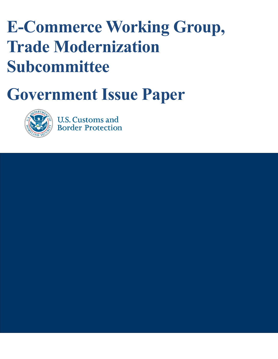# **E-Commerce Working Group, Trade Modernization Subcommittee**

# **Government Issue Paper**



March 1, 2017

**U.S. Customs and Border Protection**